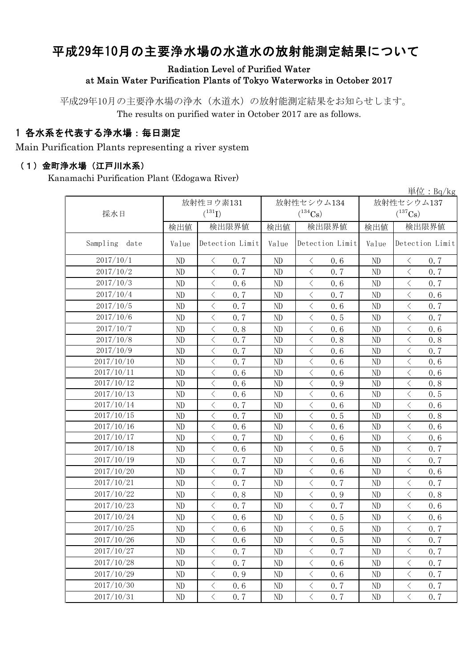# 平成29年10月の主要浄水場の水道水の放射能測定結果について

Radiation Level of Purified Water

at Main Water Purification Plants of Tokyo Waterworks in October 2017

平成29年10月の主要浄水場の浄水(水道水)の放射能測定結果をお知らせします。 The results on purified water in October 2017 are as follows.

#### 1 各水系を代表する浄水場:毎日測定

Main Purification Plants representing a river system

#### (1)金町浄水場(江戸川水系)

Kanamachi Purification Plant (Edogawa River)

| 単位: $Bq/kg$      |          |                                                 |          |                                                 |            |                                                 |  |
|------------------|----------|-------------------------------------------------|----------|-------------------------------------------------|------------|-------------------------------------------------|--|
|                  |          | 放射性ヨウ素131                                       |          | 放射性セシウム134                                      | 放射性セシウム137 |                                                 |  |
| 採水日              |          | $(^{131}I)$                                     |          | $(^{134}Cs)$                                    |            | $(^{137}\mathrm{Cs})$                           |  |
|                  | 検出値      | 検出限界値                                           | 検出値      | 検出限界値                                           | 検出値        | 検出限界値                                           |  |
| Sampling<br>date | Value    | Detection Limit                                 | Value    | Detection Limit                                 | Value      | Detection Limit                                 |  |
| 2017/10/1        | ND       | 0.7<br>$\lt$                                    | ND       | 0.6<br>$\langle$                                | ND         | 0.7<br>$\lt$                                    |  |
| 2017/10/2        | ND       | $\langle$<br>0.7                                | ND       | $\langle$<br>0.7                                | ND         | $\,$ $\,$ $\,$<br>0.7                           |  |
| 2017/10/3        | ND       | $\langle$<br>0.6                                | ND       | $\langle$<br>0.6                                | $\rm ND$   | $\langle$<br>0.7                                |  |
| 2017/10/4        | ND       | $\overline{\left\langle \right\rangle }$<br>0.7 | ND       | $\langle$<br>0.7                                | ND         | $\,$ $\,$ $\,$<br>0.6                           |  |
| 2017/10/5        | ND       | $\langle$<br>0.7                                | ND       | $\langle$<br>0.6                                | ND         | $\,$ $\,$ $\,$<br>0.7                           |  |
| 2017/10/6        | ND       | $\langle$<br>0.7                                | ND       | $\lt$<br>0.5                                    | ND         | $\,$ $\,$ $\,$<br>0.7                           |  |
| 2017/10/7        | ND       | $\overline{\left\langle \right\rangle }$<br>0.8 | ND       | $\lt$<br>0.6                                    | $\rm ND$   | $\,$ $\,$ $\,$<br>0.6                           |  |
| 2017/10/8        | $\rm ND$ | $\langle$<br>0.7                                | $\rm ND$ | $\lt$<br>0.8                                    | $\rm ND$   | $\,$ $\,$ $\,$<br>0.8                           |  |
| 2017/10/9        | ND       | 0.7<br>$\lt$                                    | ND       | $\overline{\left\langle \right\rangle }$<br>0.6 | $\rm ND$   | $\,$ $\,$ $\,$<br>0.7                           |  |
| 2017/10/10       | ND       | $\overline{\left\langle \right\rangle }$<br>0.7 | $\rm ND$ | $\lt$<br>0.6                                    | $\rm ND$   | $\langle$<br>0.6                                |  |
| 2017/10/11       | ND       | $\lt$<br>0.6                                    | ND       | $\langle$<br>0.6                                | ND         | $\lt$<br>0.6                                    |  |
| 2017/10/12       | ND       | $\lt$<br>0.6                                    | ND       | 0.9<br>$\hspace{0.1cm}\diagdown\hspace{0.1cm}$  | $\rm ND$   | $\lt$<br>0.8                                    |  |
| 2017/10/13       | ND       | $\langle$<br>0.6                                | ND       | $\overline{\left\langle \right\rangle }$<br>0.6 | ND         | $\,$ $\,$ $\,$<br>0.5                           |  |
| 2017/10/14       | ND       | $\langle$<br>0.7                                | ND       | $\langle$<br>0.6                                | ND         | $\, <\,$<br>0.6                                 |  |
| 2017/10/15       | ND       | 0.7<br>$\langle$                                | ND       | $\langle$<br>0.5                                | $\rm ND$   | $\langle$<br>0.8                                |  |
| 2017/10/16       | ND       | $\lt$<br>0.6                                    | ND       | $\langle$<br>0.6                                | $\rm ND$   | $\,$ $\,$ $\,$<br>0.6                           |  |
| 2017/10/17       | ND       | $\overline{\left\langle \right\rangle }$<br>0.7 | ND       | $\langle$<br>0.6                                | $\rm ND$   | $\langle$<br>0.6                                |  |
| 2017/10/18       | ND       | $\langle$<br>0.6                                | ND       | $\langle$<br>0.5                                | ND         | $\,$ $\,$ $\,$<br>0.7                           |  |
| 2017/10/19       | ND       | 0.7<br>$\langle$                                | ND       | $\lt$<br>0.6                                    | ND         | $\,$ $\,$ $\,$<br>0.7                           |  |
| 2017/10/20       | ND       | $\overline{\left\langle \right\rangle }$<br>0.7 | ND       | $\lt$<br>0.6                                    | ND         | $\overline{\left\langle \right\rangle }$<br>0.6 |  |
| 2017/10/21       | ND       | 0.7<br>$\langle$                                | ND       | $\langle$<br>0.7                                | $\rm ND$   | $\langle$<br>0.7                                |  |
| 2017/10/22       | ND       | $\overline{\left\langle \right\rangle }$<br>0.8 | ND       | $\langle$<br>0.9                                | ND         | $\langle$<br>0.8                                |  |
| 2017/10/23       | ND       | $\langle$<br>0.7                                | ND       | $\langle$<br>0.7                                | ND         | $\langle$<br>0.6                                |  |
| 2017/10/24       | ND       | $\langle$<br>0.6                                | ND       | 0.5<br>$\langle$                                | ND         | $\langle$<br>0.6                                |  |
| 2017/10/25       | ND       | $\lt$<br>0.6                                    | ND       | $\lt$<br>0.5                                    | ND         | $\, \zeta \,$<br>0.7                            |  |
| 2017/10/26       | $\rm ND$ | 0.6<br>$\langle$                                | $\rm ND$ | 0.5<br>$\langle$                                | $\rm ND$   | $\langle$<br>0.7                                |  |
| 2017/10/27       | ND       | $\langle$<br>0.7                                | ND       | $\langle$<br>0.7                                | ND         | $\langle$<br>0.7                                |  |
| 2017/10/28       | ND       | $\langle$<br>0.7                                | ND       | $\langle$<br>0.6                                | ND         | $\, \big\langle \,$<br>0, 7                     |  |
| 2017/10/29       | ND       | $\langle$<br>0.9                                | ND       | $\langle$<br>0.6                                | ND         | $\langle$<br>0.7                                |  |
| 2017/10/30       | ND       | $\langle$<br>0.6                                | ND       | $\lt$<br>0.7                                    | ND         | $\langle$<br>0.7                                |  |
| 2017/10/31       | ND       | $\langle$<br>0.7                                | ND       | $\langle$<br>0.7                                | ND         | $\langle$<br>0.7                                |  |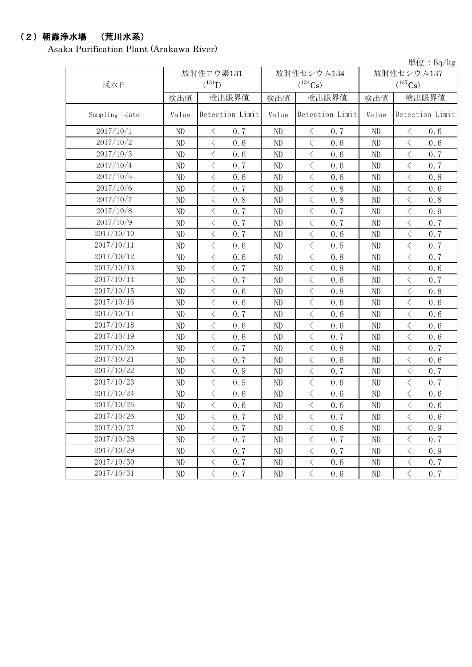### (2)朝霞浄水場 (荒川水系)

Asaka Purification Plant (Arakawa River)

単位:Bq/kg

|                  | 放射性ヨウ素131 |                                                 |          | 放射性セシウム134                                       | 放射性セシウム137 |                                                 |  |
|------------------|-----------|-------------------------------------------------|----------|--------------------------------------------------|------------|-------------------------------------------------|--|
| 採水日              |           | $(^{131}I)$                                     |          | $(^{134}Cs)$                                     |            | $(^{137}\mathrm{Cs})$                           |  |
|                  | 検出値       | 検出限界値                                           | 検出値      | 検出限界値                                            | 検出値        | 検出限界値                                           |  |
| Sampling<br>date | Value     | Detection Limit                                 | Value    | Detection Limit                                  | Value      | Detection Limit                                 |  |
| 2017/10/1        | ND        | 0.7<br>$\langle$                                | $\rm ND$ | $\langle$<br>0.7                                 | ND         | 0.6<br>$\langle$                                |  |
| 2017/10/2        | ND        | $\langle$<br>0.6                                | ND       | $\langle$<br>0.6                                 | ND         | $\langle$<br>0.6                                |  |
| 2017/10/3        | ND        | $\langle$<br>0.6                                | ND       | $\langle$<br>0.6                                 | ND         | $\,$ $\,$ $\,$<br>0.7                           |  |
| 2017/10/4        | ND        | $\big\langle$<br>0.7                            | ND       | $\langle$<br>0.6                                 | ND         | $\lt$<br>0.7                                    |  |
| 2017/10/5        | $\rm ND$  | $\, <\,$<br>0.6                                 | ND       | $\langle$<br>0.6                                 | $\rm ND$   | $\langle$<br>0.8                                |  |
| 2017/10/6        | ND        | $\, <\,$<br>0.7                                 | ND       | $\langle$<br>0.8                                 | ND         | $\, <\,$<br>0.6                                 |  |
| 2017/10/7        | ND        | $\, <\,$<br>0.8                                 | ND       | $\langle$<br>0.8                                 | ND         | $\langle$<br>0.8                                |  |
| 2017/10/8        | ND        | $\overline{\left\langle \right\rangle }$<br>0.7 | ND       | $\overline{\left\langle \right\rangle }$<br>0.7  | ND         | $\overline{\left\langle \right\rangle }$<br>0.9 |  |
| 2017/10/9        | ND        | 0.7<br>$\big\langle$                            | ND       | $\langle$<br>0.7                                 | ND         | $\, < \,$<br>0.7                                |  |
| 2017/10/10       | $\rm ND$  | $\overline{\left\langle \right\rangle }$<br>0.7 | $\rm ND$ | $\langle$<br>0.6                                 | ND         | $\langle$<br>0.7                                |  |
| 2017/10/11       | ND        | $\, <\,$<br>0.6                                 | ND       | $\langle$<br>0.5                                 | ND         | $\, <\,$<br>0.7                                 |  |
| 2017/10/12       | $\rm ND$  | $\, <\,$<br>0.6                                 | ND       | $\langle$<br>0.8                                 | ND         | $\langle$<br>0.7                                |  |
| 2017/10/13       | ND        | $\overline{\left\langle \right\rangle }$<br>0.7 | ND       | $\langle$<br>0.8                                 | ND         | $\overline{\left\langle \right\rangle }$<br>0.6 |  |
| 2017/10/14       | ND        | $\lt$<br>0.7                                    | ND       | $\lt$<br>0.6                                     | ND         | $\, < \,$<br>0.7                                |  |
| 2017/10/15       | $\rm ND$  | $\overline{\left\langle \right\rangle }$<br>0.6 | $\rm ND$ | $\langle$<br>0.8                                 | $\rm ND$   | $\langle$<br>0.8                                |  |
| 2017/10/16       | ND        | $\, <\,$<br>0.6                                 | ND       | $\langle$<br>0.6                                 | ND         | $\hspace{0.1cm}\big\langle$<br>0.6              |  |
| 2017/10/17       | $\rm ND$  | $\, <\,$<br>0.7                                 | ND       | $\langle$<br>0.6                                 | ND         | $\langle$<br>0.6                                |  |
| 2017/10/18       | ND        | $\overline{\left\langle \right\rangle }$<br>0.6 | ND       | $\overline{\left\langle \right\rangle }$<br>0.6  | ND         | $\langle$<br>0.6                                |  |
| 2017/10/19       | ND        | $\lt$<br>0.6                                    | ND       | 0.7<br>$\langle$                                 | ND         | $\lt$<br>0.6                                    |  |
| 2017/10/20       | $\rm ND$  | $\langle$<br>0.7                                | $\rm ND$ | $\langle$<br>0.8                                 | ND         | $\langle$<br>0.7                                |  |
| 2017/10/21       | ND        | $\, <\,$<br>0.7                                 | ND       | $\langle$<br>0.6                                 | ND         | $\, <\,$<br>0.6                                 |  |
| 2017/10/22       | ND        | $\, <\,$<br>0.9                                 | ND       | $\langle$<br>0.7                                 | ND         | $\langle$<br>0.7                                |  |
| 2017/10/23       | ND        | $\, <\,$<br>0.5                                 | ND       | $\overline{\left\langle \right\rangle }$<br>0.6  | ND         | $\,$ $\,$ $\,$<br>0.7                           |  |
| 2017/10/24       | ND        | $\big\langle$<br>0.6                            | ND       | 0.6<br>$\langle$                                 | ND         | $\lt$<br>0.6                                    |  |
| 2017/10/25       | $\rm ND$  | $\, <\,$<br>0.6                                 | ND       | $\langle$<br>0.6                                 | $\rm ND$   | $\overline{\left\langle \right\rangle }$<br>0.6 |  |
| 2017/10/26       | ND        | $\bigg\langle$<br>0, 7                          | $\rm ND$ | $\overline{\left\langle \right\rangle }$<br>0, 7 | ND         | $\, <\,$<br>0.6                                 |  |
| 2017/10/27       | ND        | 0.7<br>$\langle$                                | ND       | 0.6<br>$\lt$                                     | ND         | 0.9<br>$\langle$                                |  |
| 2017/10/28       | $\rm ND$  | $\bigl\langle$<br>0.7                           | ND       | $\langle$<br>0, 7                                | ND         | $\, <\,$<br>0.7                                 |  |
| 2017/10/29       | ND        | $\, \leq$<br>0.7                                | ND       | $\langle$<br>0.7                                 | ND         | $\, < \,$<br>0.9                                |  |
| 2017/10/30       | ND        | $\hspace{0.1mm}\big\langle$<br>0.7              | ND       | $\, <\,$<br>0.6                                  | ND         | $\, \big\langle \,$<br>0.7                      |  |
| 2017/10/31       | ND        | $\langle$<br>0, 7                               | ND       | $\langle$<br>0.6                                 | ND         | $\langle$<br>0, 7                               |  |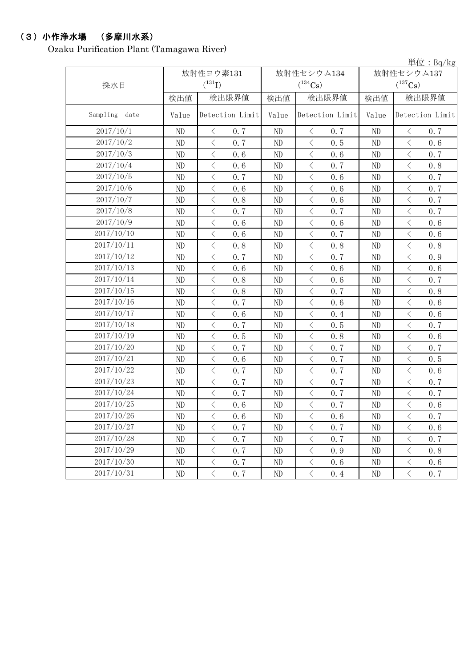# (3)小作浄水場 (多摩川水系)

Ozaku Purification Plant (Tamagawa River)

単位:Bq/kg

|               | 放射性ヨウ素131 |                                                                                                                                                                                                                                                                                                                                                                                                                                                                                                                                                                                                                                                                                           |          | 放射性セシウム134                                      | 放射性セシウム137 |                                                 |  |
|---------------|-----------|-------------------------------------------------------------------------------------------------------------------------------------------------------------------------------------------------------------------------------------------------------------------------------------------------------------------------------------------------------------------------------------------------------------------------------------------------------------------------------------------------------------------------------------------------------------------------------------------------------------------------------------------------------------------------------------------|----------|-------------------------------------------------|------------|-------------------------------------------------|--|
| 採水日           |           | $(^{131}I)$                                                                                                                                                                                                                                                                                                                                                                                                                                                                                                                                                                                                                                                                               |          | $(^{134}Cs)$                                    |            | $(^{137}\mathrm{Cs})$                           |  |
|               | 検出値       | 検出限界値                                                                                                                                                                                                                                                                                                                                                                                                                                                                                                                                                                                                                                                                                     | 検出値      | 検出限界値                                           | 検出値        | 検出限界値                                           |  |
| Sampling date | Value     | Detection Limit<br>Value                                                                                                                                                                                                                                                                                                                                                                                                                                                                                                                                                                                                                                                                  |          | Detection Limit                                 | Value      | Detection Limit                                 |  |
| 2017/10/1     | ND        | 0.7<br>$\lt$                                                                                                                                                                                                                                                                                                                                                                                                                                                                                                                                                                                                                                                                              | ND       | $\langle$<br>0.7                                | ND         | 0.7<br>$\lt$                                    |  |
| 2017/10/2     | ND        | 0.7<br>$\langle$                                                                                                                                                                                                                                                                                                                                                                                                                                                                                                                                                                                                                                                                          | ND       | 0.5<br>$\langle$                                | ND         | $\lt$<br>0.6                                    |  |
| 2017/10/3     | ND        | $\langle$<br>0.6                                                                                                                                                                                                                                                                                                                                                                                                                                                                                                                                                                                                                                                                          | $\rm ND$ | $\overline{\left\langle \right\rangle }$<br>0.6 | ND         | $\langle$<br>0.7                                |  |
| 2017/10/4     | ND        | $\, <\,$<br>0.6                                                                                                                                                                                                                                                                                                                                                                                                                                                                                                                                                                                                                                                                           | ND       | $\langle$<br>0.7                                | ND         | $\, <\,$<br>0.8                                 |  |
| 2017/10/5     | ND        | $\lt$<br>0.7                                                                                                                                                                                                                                                                                                                                                                                                                                                                                                                                                                                                                                                                              | ND       | $\langle$<br>0.6                                | ND         | $\langle$<br>0.7                                |  |
| 2017/10/6     | ND        | $\, <\,$<br>0.6                                                                                                                                                                                                                                                                                                                                                                                                                                                                                                                                                                                                                                                                           | ND       | $\langle$<br>0.6                                | ND         | $\,$ $\,$ $\,$<br>0.7                           |  |
| 2017/10/7     | ND        | $\, \leq$<br>0.8                                                                                                                                                                                                                                                                                                                                                                                                                                                                                                                                                                                                                                                                          | ND       | 0.6<br>$\langle$                                | ND         | $\lt$<br>0.7                                    |  |
| 2017/10/8     | ND        | $\langle$<br>0.7                                                                                                                                                                                                                                                                                                                                                                                                                                                                                                                                                                                                                                                                          | ND       | $\langle$<br>0.7                                | ND         | $\overline{\left\langle \right\rangle }$<br>0.7 |  |
| 2017/10/9     | ND        | $\overline{\left\langle \right\rangle }$<br>0.6                                                                                                                                                                                                                                                                                                                                                                                                                                                                                                                                                                                                                                           | ND       | $\langle$<br>0.6                                | ND         | $\, <\,$<br>0.6                                 |  |
| 2017/10/10    | ND        | $\langle$<br>0.6                                                                                                                                                                                                                                                                                                                                                                                                                                                                                                                                                                                                                                                                          | ND       | 0.7<br>$\langle$                                | ND         | 0.6<br>$\langle$                                |  |
| 2017/10/11    | ND        | $\, <\,$<br>0.8                                                                                                                                                                                                                                                                                                                                                                                                                                                                                                                                                                                                                                                                           | ND       | $\langle$<br>0.8                                | ND         | $\langle$<br>0.8                                |  |
| 2017/10/12    | ND        | $\mathord{\langle}$<br>0.7                                                                                                                                                                                                                                                                                                                                                                                                                                                                                                                                                                                                                                                                | ND       | $\langle$<br>0.7                                | ND         | $\lt$<br>0.9                                    |  |
| 2017/10/13    | ND        | $\langle$<br>0.6                                                                                                                                                                                                                                                                                                                                                                                                                                                                                                                                                                                                                                                                          | ND       | $\langle$<br>0.6                                | ND         | $\langle$<br>0.6                                |  |
| 2017/10/14    | ND        | $\, <\,$<br>0.8                                                                                                                                                                                                                                                                                                                                                                                                                                                                                                                                                                                                                                                                           | ND       | $\langle$<br>0.6                                | ND         | $\langle$<br>0.7                                |  |
| 2017/10/15    | $\rm ND$  | $\lt$<br>0.8                                                                                                                                                                                                                                                                                                                                                                                                                                                                                                                                                                                                                                                                              | ND       | $\langle$<br>0.7                                | ND         | $\langle$<br>0.8                                |  |
| 2017/10/16    | ND        | $\, <\,$<br>0.7                                                                                                                                                                                                                                                                                                                                                                                                                                                                                                                                                                                                                                                                           | ND       | $\langle$<br>0.6                                | ND         | $\langle$<br>0.6                                |  |
| 2017/10/17    | ND        | $\lt$<br>0.6                                                                                                                                                                                                                                                                                                                                                                                                                                                                                                                                                                                                                                                                              | ND       | $\langle$<br>0.4                                | ND         | $\lt$<br>0.6                                    |  |
| 2017/10/18    | ND        | $\langle$<br>0.7                                                                                                                                                                                                                                                                                                                                                                                                                                                                                                                                                                                                                                                                          | $\rm ND$ | $\langle$<br>0.5                                | ND         | $\overline{\left\langle \right\rangle }$<br>0.7 |  |
| 2017/10/19    | ND        | $\langle$<br>0.5                                                                                                                                                                                                                                                                                                                                                                                                                                                                                                                                                                                                                                                                          | ND       | $\langle$<br>0.8                                | ND         | $\overline{\left\langle \right\rangle }$<br>0.6 |  |
| 2017/10/20    | ND        | $\mathord{\langle}$<br>0.7                                                                                                                                                                                                                                                                                                                                                                                                                                                                                                                                                                                                                                                                | ND       | $\langle$<br>0.7                                | ND         | $\lt$<br>0.7                                    |  |
| 2017/10/21    | ND        | $\lt$<br>0.6                                                                                                                                                                                                                                                                                                                                                                                                                                                                                                                                                                                                                                                                              | ND       | $\langle$<br>0.7                                | ND         | $\langle$<br>0.5                                |  |
| 2017/10/22    | $\rm ND$  | $\overline{\left\langle \right. }% ,\left\langle \overline{\left\langle \right. }\right\rangle _{0}\right\langle \left. \overline{\left\langle \right. }\right\rangle _{0}\left\langle \overline{\left\langle \right. }\right\rangle _{0}\left\langle \overline{\left\langle \right. }\right\rangle _{0}\left\langle \overline{\left\langle \right. }\right\rangle _{0}\left\langle \overline{\left\langle \right. }\right\rangle _{0}\left\langle \overline{\left\langle \right. }\right\rangle _{0}\left\langle \overline{\left\langle \right. }\right\rangle _{0}\left\langle \overline{\left\langle \right. }\right\rangle _{0}\left\langle \overline{\left\langle \right. }\$<br>0.7 | ND       | $\overline{\left\langle \right\rangle }$<br>0.7 | ND         | $\hspace{0.1cm}\big\langle$<br>0.6              |  |
| 2017/10/23    | ND        | 0.7<br>$\lt$                                                                                                                                                                                                                                                                                                                                                                                                                                                                                                                                                                                                                                                                              | ND       | 0.7<br>$\langle$                                | ND         | $\langle$<br>0.7                                |  |
| 2017/10/24    | ND        | $\langle$<br>0.7                                                                                                                                                                                                                                                                                                                                                                                                                                                                                                                                                                                                                                                                          | ND       | $\overline{\left\langle \right\rangle }$<br>0.7 | ND         | $\langle$<br>0.7                                |  |
| 2017/10/25    | ND        | $\, \leq$<br>0.6                                                                                                                                                                                                                                                                                                                                                                                                                                                                                                                                                                                                                                                                          | ND       | $\langle$<br>0.7                                | ND         | $\langle$<br>0, 6                               |  |
| 2017/10/26    | ND        | $\langle$<br>0.6                                                                                                                                                                                                                                                                                                                                                                                                                                                                                                                                                                                                                                                                          | ND       | $\langle$<br>0.6                                | ND         | 0.7<br>$\lt$                                    |  |
| 2017/10/27    | ND        | $\, \leq$<br>0.7                                                                                                                                                                                                                                                                                                                                                                                                                                                                                                                                                                                                                                                                          | ND       | $\langle$<br>0.7                                | ND         | $\langle$<br>0.6                                |  |
| 2017/10/28    | ND        | $\, <\,$<br>0.7                                                                                                                                                                                                                                                                                                                                                                                                                                                                                                                                                                                                                                                                           | ND       | $\langle$<br>0.7                                | ND         | $\langle$<br>0.7                                |  |
| 2017/10/29    | ND        | $\, \big\langle \,$<br>0.7                                                                                                                                                                                                                                                                                                                                                                                                                                                                                                                                                                                                                                                                | ND       | $\langle$<br>0.9                                | ND         | $\langle$<br>0.8                                |  |
| 2017/10/30    | ND        | $\langle$<br>0, 7                                                                                                                                                                                                                                                                                                                                                                                                                                                                                                                                                                                                                                                                         | ND       | $\langle$<br>0.6                                | ND         | $\bigl\langle$<br>0.6                           |  |
| 2017/10/31    | $\rm ND$  | $\bigl\langle$<br>0, 7                                                                                                                                                                                                                                                                                                                                                                                                                                                                                                                                                                                                                                                                    | ND       | $\lt$<br>0.4                                    | ND         | $\, \big\langle \,$<br>0.7                      |  |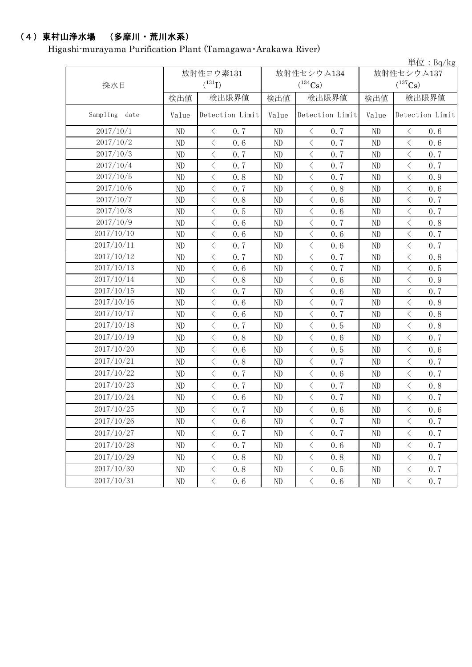# (4)東村山浄水場 (多摩川・荒川水系)

Higashi-murayama Purification Plant (Tamagawa・Arakawa River)

|                  |           |                             |          |                  |            | 単位: $Bq/kg$           |  |
|------------------|-----------|-----------------------------|----------|------------------|------------|-----------------------|--|
|                  | 放射性ヨウ素131 |                             |          | 放射性セシウム134       | 放射性セシウム137 |                       |  |
| 採水日              |           | $(^{131}I)$<br>$(^{134}Cs)$ |          |                  |            | $(^{137}\mathrm{Cs})$ |  |
|                  | 検出値       | 検出限界値                       | 検出値      | 検出限界値            | 検出値        | 検出限界値                 |  |
| Sampling<br>date | Value     | Detection Limit             | Value    | Detection Limit  | Value      | Detection Limit       |  |
| 2017/10/1        | ND        | 0.7<br>$\langle$            | ND       | 0.7<br>$\lt$     | ND         | 0.6<br>$\langle$      |  |
| 2017/10/2        | ND        | $\lt$<br>0.6                | ND       | $\langle$<br>0.7 | ND         | $\langle$<br>0.6      |  |
| 2017/10/3        | ND        | $\, <\,$<br>0.7             | ND       | $\langle$<br>0.7 | ND         | $\langle$<br>0.7      |  |
| 2017/10/4        | ND        | $\lt$<br>0.7                | $\rm ND$ | $\langle$<br>0.7 | ND         | $\langle$<br>0.7      |  |
| 2017/10/5        | ND        | $\langle$<br>0.8            | $\rm ND$ | $\langle$<br>0.7 | ND         | $\langle$<br>0.9      |  |
| 2017/10/6        | ND        | $\lt$<br>0.7                | ND       | $\langle$<br>0.8 | ND         | $\langle$<br>0.6      |  |
| 2017/10/7        | ND        | 0.8<br>$\lt$                | $\rm ND$ | $\langle$<br>0.6 | ND         | 0.7<br>$\langle$      |  |
| 2017/10/8        | ND        | $\, <\,$<br>0.5             | ND       | $\langle$<br>0.6 | ND         | $\langle$<br>0.7      |  |
| 2017/10/9        | ND        | $\lt$<br>0.6                | $\rm ND$ | $\langle$<br>0.7 | ND         | $\langle$<br>0.8      |  |
| 2017/10/10       | ND        | $\langle$<br>0.6            | $\rm ND$ | $\langle$<br>0.6 | ND         | $\langle$<br>0.7      |  |
| 2017/10/11       | ND        | $\lt$<br>0.7                | $\rm ND$ | $\langle$<br>0.6 | ND         | $\langle$<br>0.7      |  |
| 2017/10/12       | ND        | $\langle$<br>0.7            | $\rm ND$ | $\langle$<br>0.7 | ND         | $\lt$<br>0.8          |  |
| 2017/10/13       | ND        | $\langle$<br>0.6            | ND       | $\langle$<br>0.7 | ND         | $\langle$<br>0.5      |  |
| 2017/10/14       | ND        | $\lt$<br>0.8                | $\rm ND$ | $\langle$<br>0.6 | ND         | $\langle$<br>0.9      |  |
| 2017/10/15       | ND        | $\langle$<br>0.7            | $\rm ND$ | $\langle$<br>0.6 | ND         | $\langle$<br>0.7      |  |
| 2017/10/16       | ND        | $\lt$<br>0.6                | ND       | $\langle$<br>0.7 | ND         | $\langle$<br>0.8      |  |
| 2017/10/17       | ND        | 0.6<br>$\langle$            | $\rm ND$ | $\langle$<br>0.7 | ND         | $\langle$<br>0.8      |  |
| 2017/10/18       | ND        | $\, <\,$<br>0.7             | $\rm ND$ | $\langle$<br>0.5 | ND         | $\langle$<br>0.8      |  |
| 2017/10/19       | ND        | $\, <\,$<br>0.8             | ND       | $\langle$<br>0.6 | ND         | $\langle$<br>0.7      |  |
| 2017/10/20       | ND        | $\langle$<br>0.6            | ND       | $\langle$<br>0.5 | ND         | $\langle$<br>0.6      |  |
| 2017/10/21       | ND        | $\langle$<br>0.8            | ND       | $\langle$<br>0.7 | ND         | $\langle$<br>0.7      |  |
| 2017/10/22       | ND        | $\lt$<br>0.7                | ND       | $\langle$<br>0.6 | ND         | $\lt$<br>0.7          |  |
| 2017/10/23       | ND        | 0.7<br>$\lt$                | ND       | $\langle$<br>0.7 | ND         | $\langle$<br>0.8      |  |
| 2017/10/24       | ND        | $\lt$<br>0.6                | ND       | $\langle$<br>0.7 | ND         | $\langle$<br>0.7      |  |
| 2017/10/25       | ND        | $\lt$<br>0.7                | ND       | $\langle$<br>0.6 | ND         | $\langle$<br>0.6      |  |
| 2017/10/26       | ND        | $\lt$<br>0.6                | $\rm ND$ | $\langle$<br>0.7 | ND         | 0.7<br>$\langle$      |  |
| 2017/10/27       | ND        | $\langle$<br>0.7            | ND       | $\langle$<br>0.7 | $\rm ND$   | $\langle$<br>0.7      |  |
| 2017/10/28       | ND        | $\lt$<br>0.7                | ND       | $\langle$<br>0.6 | ND         | $\langle$<br>0.7      |  |
| 2017/10/29       | ND        | $\langle$<br>0.8            | ND       | $\langle$<br>0.8 | ND         | $\langle$<br>0.7      |  |
| 2017/10/30       | ND        | $\lt$<br>0, 8               | ND       | $\lt$<br>0.5     | ND         | $\langle$<br>0, 7     |  |
| 2017/10/31       | ND        | $\langle$<br>0.6            | ND       | $\langle$<br>0.6 | ND         | $\langle$<br>0, 7     |  |
|                  |           |                             |          |                  |            |                       |  |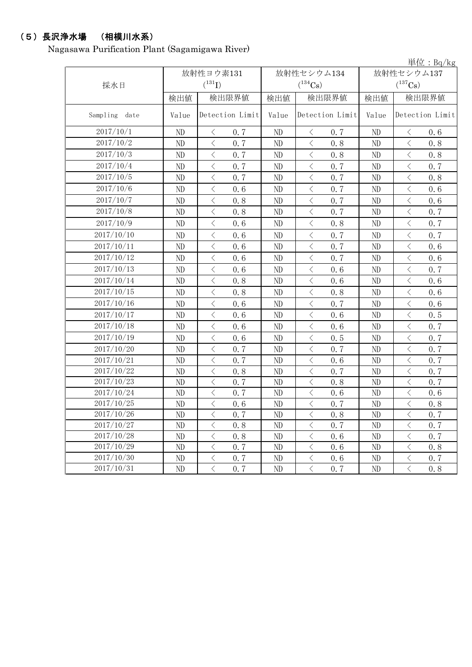# (5)長沢浄水場 (相模川水系)

Nagasawa Purification Plant (Sagamigawa River)

単位:Bq/kg

|               | 放射性ヨウ素131 |                                                 |                          | 放射性セシウム134                                      | 放射性セシウム137 |                                                 |  |
|---------------|-----------|-------------------------------------------------|--------------------------|-------------------------------------------------|------------|-------------------------------------------------|--|
| 採水日           |           | $(^{131}I)$                                     |                          | $(^{134}Cs)$                                    |            | $(^{137}\mathrm{Cs})$                           |  |
|               | 検出値       | 検出限界値                                           | 検出値                      | 検出限界値                                           | 検出値        | 検出限界値                                           |  |
| Sampling date | Value     | Detection Limit                                 | Detection Limit<br>Value |                                                 | Value      | Detection Limit                                 |  |
| 2017/10/1     | ND        | $\langle$<br>0.7                                | ND                       | $\langle$<br>0.7                                | ND         | $\langle$<br>0.6                                |  |
| 2017/10/2     | ND        | $\langle$<br>0.7                                | ND                       | $\langle$<br>0.8                                | ND         | $\langle$<br>0.8                                |  |
| 2017/10/3     | ND        | $\langle$<br>0.7                                | ND                       | $\langle$<br>0.8                                | ND         | $\langle$<br>0.8                                |  |
| 2017/10/4     | ND        | 0.7<br>$\, <\,$                                 | ND                       | $\langle$<br>0.7                                | ND         | $\langle$<br>0.7                                |  |
| 2017/10/5     | ND        | $\,$ $\,$ $\,$<br>0.7                           | ND                       | $\overline{\left\langle \right\rangle }$<br>0.7 | ND         | $\overline{\left\langle \right\rangle }$<br>0.8 |  |
| 2017/10/6     | $\rm ND$  | $\overline{\left\langle \right\rangle }$<br>0.6 | ND                       | $\langle$<br>0.7                                | ND         | $\lt$<br>0.6                                    |  |
| 2017/10/7     | $\rm ND$  | 0.8<br>$\langle$                                | ND                       | $\overline{\left\langle \right\rangle }$<br>0.7 | ND         | $\langle$<br>0.6                                |  |
| 2017/10/8     | ND        | $\langle$<br>0.8                                | ND                       | $\overline{\left\langle \right\rangle }$<br>0.7 | ND         | $\overline{\left\langle \right\rangle }$<br>0.7 |  |
| 2017/10/9     | ND        | $\,$ $\,$ $\,$<br>0.6                           | ND                       | $\overline{\left\langle \right\rangle }$<br>0.8 | ND         | $\overline{\left\langle \right\rangle }$<br>0.7 |  |
| 2017/10/10    | ND        | $\overline{\left\langle \right\rangle }$<br>0.6 | ND                       | $\overline{\langle}$<br>0.7                     | ND         | $\overline{\left\langle \right\rangle }$<br>0.7 |  |
| 2017/10/11    | $\rm ND$  | $\lt$<br>0.6                                    | ND                       | $\langle$<br>0.7                                | ND         | $\langle$<br>0.6                                |  |
| 2017/10/12    | $\rm ND$  | $\langle$<br>0.6                                | ND                       | $\langle$<br>0.7                                | ND         | $\langle$<br>0.6                                |  |
| 2017/10/13    | ND        | $\langle$<br>0.6                                | ND                       | $\langle$<br>0.6                                | ND         | $\overline{\left\langle \right\rangle }$<br>0.7 |  |
| 2017/10/14    | ND        | $\langle$<br>0.8                                | $\rm ND$                 | $\langle$<br>0.6                                | $\rm ND$   | $\langle$<br>0.6                                |  |
| 2017/10/15    | ND        | $\, \leq$<br>0.8                                | ND                       | 0.8<br>$\langle$                                | ND         | $\langle$<br>0.6                                |  |
| 2017/10/16    | $\rm ND$  | $\, <\,$<br>0.6                                 | ND                       | $\langle$<br>0.7                                | ND         | $\lt$<br>0.6                                    |  |
| 2017/10/17    | $\rm ND$  | $\lt$<br>0.6                                    | $\rm ND$                 | $\langle$<br>0.6                                | $\rm ND$   | $\lt$<br>0.5                                    |  |
| 2017/10/18    | $\rm ND$  | $\lt$<br>0.6                                    | ND                       | $\langle$<br>0.6                                | ND         | $\overline{\left\langle \right\rangle }$<br>0.7 |  |
| 2017/10/19    | ND        | 0.6<br>$\langle$                                | ND                       | $\langle$<br>0.5                                | ND         | $\overline{\left\langle \right\rangle }$<br>0.7 |  |
| 2017/10/20    | ND        | $\langle$<br>0.7                                | ND                       | $\overline{\left\langle \right\rangle }$<br>0.7 | $\rm ND$   | $\overline{\left\langle \right\rangle }$<br>0.7 |  |
| 2017/10/21    | ND        | $\overline{\left\langle \right\rangle }$<br>0.7 | ND                       | $\overline{\left\langle \right\rangle }$<br>0.6 | ND         | $\overline{\left\langle \right\rangle }$<br>0.7 |  |
| 2017/10/22    | ND        | $\overline{\left\langle \right\rangle }$<br>0.8 | ND                       | $\overline{\left\langle \right\rangle }$<br>0.7 | ND         | $\overline{\left\langle \right\rangle }$<br>0.7 |  |
| 2017/10/23    | ND        | $\overline{\left\langle \right\rangle }$<br>0.7 | ND                       | $\overline{\left\langle \right\rangle }$<br>0.8 | ND         | $\overline{\left\langle \right\rangle }$<br>0.7 |  |
| 2017/10/24    | ND        | $\overline{\left\langle \right\rangle }$<br>0.7 | ND                       | $\overline{\left\langle \right\rangle }$<br>0.6 | ND         | $\overline{\left\langle \right\rangle }$<br>0.6 |  |
| 2017/10/25    | ND        | $\overline{\left\langle \right\rangle }$<br>0.6 | ND                       | $\overline{\left\langle \right\rangle }$<br>0.7 | ND         | $\overline{\left\langle \right\rangle }$<br>0.8 |  |
| 2017/10/26    | ND        | $\overline{\left\langle \right\rangle }$<br>0.7 | ND                       | $\overline{\left\langle \right\rangle }$<br>0.8 | ND         | $\overline{\left\langle \right\rangle }$<br>0.7 |  |
| 2017/10/27    | $\rm ND$  | 0.8<br>$\lt$                                    | ND                       | $\lt$<br>0.7                                    | ND         | $\langle$<br>0.7                                |  |
| 2017/10/28    | $\rm ND$  | $\lt$<br>0.8                                    | ND                       | $\overline{\left\langle \right\rangle }$<br>0.6 | ND         | $\langle$<br>0.7                                |  |
| 2017/10/29    | $\rm ND$  | 0.7<br>$\, <\,$                                 | $\rm ND$                 | $\langle$<br>0.6                                | $\rm ND$   | $\lt$<br>0.8                                    |  |
| 2017/10/30    | $\rm ND$  | $\, <\,$<br>0.7                                 | ND                       | $\langle$<br>0.6                                | ND         | $\langle$<br>0.7                                |  |
| 2017/10/31    | ND        | $\overline{\left\langle \right\rangle }$<br>0.7 | ND                       | $\langle$<br>0.7                                | ND         | $\lt$<br>0.8                                    |  |